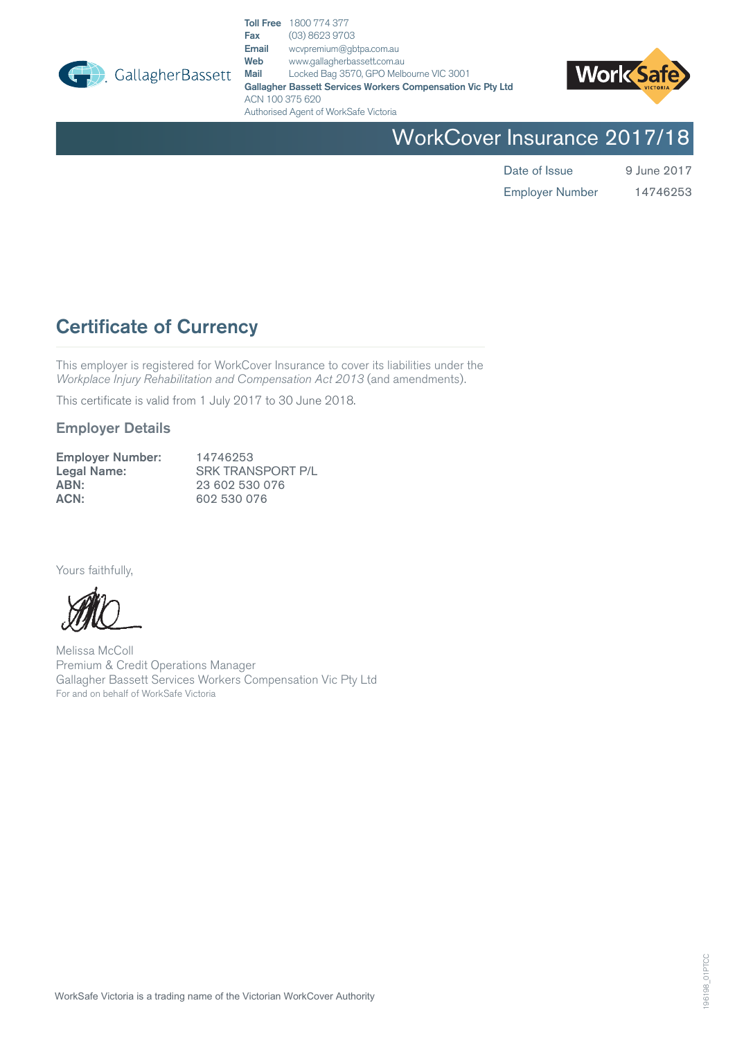

 $\Box$  GallagherBassett

Toll Free 1800 774 377 **Fax** (03) 8623 9703<br>**Email** wcypremium@gk Email wcvpremium@gbtpa.com.au<br>
Web www.gallagherbassett.com.au Web www.gallagherbassett.com.au<br>
Mail Locked Bag 3570, GPO Melb Locked Bag 3570, GPO Melbourne VIC 3001 Gallagher Bassett Services Workers Compensation Vic Pty Ltd ACN 100 375 620 Authorised Agent of WorkSafe Victoria



WorkCover Insurance 2017/18

Date of Issue 9 June 2017 14746253

Employer Number

# Certificate of Currency

This employer is registered for WorkCover Insurance to cover its liabilities under the *Workplace Injury Rehabilitation and Compensation Act 2013* (and amendments).

This certificate is valid from 1 July 2017 to 30 June 2018.

## Employer Details

| <b>Employer Number:</b> | 14746253                 |
|-------------------------|--------------------------|
| Legal Name:             | <b>SRK TRANSPORT P/L</b> |
| ABN:                    | 23 602 530 076           |
| ACN:                    | 602 530 076              |

Yours faithfully,

Melissa McColl Premium & Credit Operations Manager Gallagher Bassett Services Workers Compensation Vic Pty Ltd For and on behalf of WorkSafe Victoria